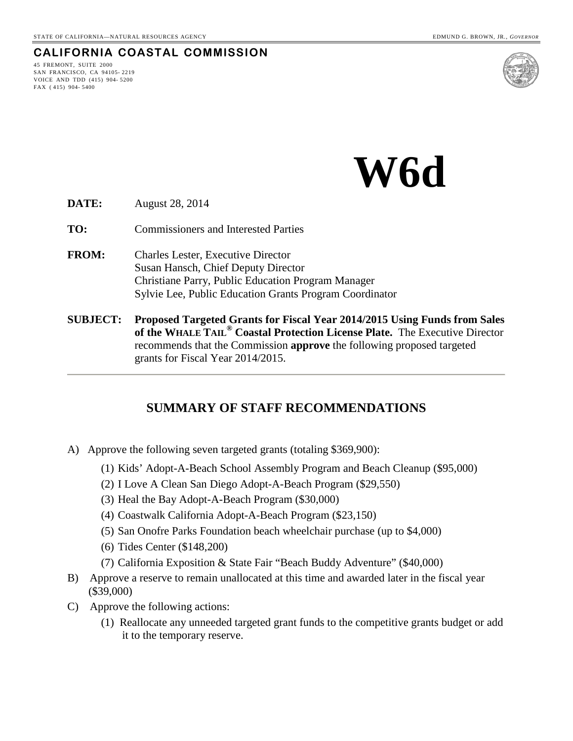#### **CALIFORNIA COASTAL COMMISSION**

45 FREMONT, SUITE 2000 SAN FRANCISCO, CA 94105- 2219 VOICE AND TDD (415) 904- 5200 FAX ( 415) 904- 5400



**W6d**

- **DATE:** August 28, 2014
- **TO:** Commissioners and Interested Parties
- **FROM:** Charles Lester, Executive Director Susan Hansch, Chief Deputy Director Christiane Parry, Public Education Program Manager Sylvie Lee, Public Education Grants Program Coordinator
- **SUBJECT: Proposed Targeted Grants for Fiscal Year 2014/2015 Using Funds from Sales of the WHALE TAIL® Coastal Protection License Plate.** The Executive Director recommends that the Commission **approve** the following proposed targeted grants for Fiscal Year 2014/2015.

### **SUMMARY OF STAFF RECOMMENDATIONS**

- A) Approve the following seven targeted grants (totaling \$369,900):
	- (1) Kids' Adopt-A-Beach School Assembly Program and Beach Cleanup (\$95,000)
	- (2) I Love A Clean San Diego Adopt-A-Beach Program (\$29,550)
	- (3) Heal the Bay Adopt-A-Beach Program (\$30,000)
	- (4) Coastwalk California Adopt-A-Beach Program (\$23,150)
	- (5) San Onofre Parks Foundation beach wheelchair purchase (up to \$4,000)
	- (6) Tides Center (\$148,200)
	- (7) California Exposition & State Fair "Beach Buddy Adventure" (\$40,000)
- B) Approve a reserve to remain unallocated at this time and awarded later in the fiscal year (\$39,000)
- C) Approve the following actions:
	- (1) Reallocate any unneeded targeted grant funds to the competitive grants budget or add it to the temporary reserve.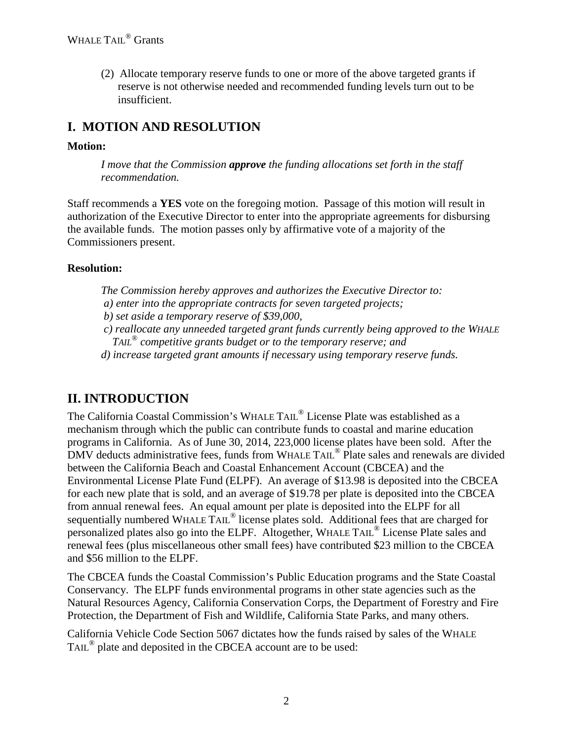(2) Allocate temporary reserve funds to one or more of the above targeted grants if reserve is not otherwise needed and recommended funding levels turn out to be insufficient.

## **I. MOTION AND RESOLUTION**

#### **Motion:**

*I move that the Commission approve the funding allocations set forth in the staff recommendation.*

Staff recommends a **YES** vote on the foregoing motion. Passage of this motion will result in authorization of the Executive Director to enter into the appropriate agreements for disbursing the available funds. The motion passes only by affirmative vote of a majority of the Commissioners present.

### **Resolution:**

*The Commission hereby approves and authorizes the Executive Director to: a) enter into the appropriate contracts for seven targeted projects; b) set aside a temporary reserve of \$39,000, c) reallocate any unneeded targeted grant funds currently being approved to the WHALE TAIL® competitive grants budget or to the temporary reserve; and d) increase targeted grant amounts if necessary using temporary reserve funds.*

# **II. INTRODUCTION**

The California Coastal Commission's WHALE TAIL® License Plate was established as a mechanism through which the public can contribute funds to coastal and marine education programs in California. As of June 30, 2014, 223,000 license plates have been sold. After the DMV deducts administrative fees, funds from WHALE TAIL<sup>®</sup> Plate sales and renewals are divided between the California Beach and Coastal Enhancement Account (CBCEA) and the Environmental License Plate Fund (ELPF). An average of \$13.98 is deposited into the CBCEA for each new plate that is sold, and an average of \$19.78 per plate is deposited into the CBCEA from annual renewal fees. An equal amount per plate is deposited into the ELPF for all sequentially numbered WHALE TAIL<sup>®</sup> license plates sold. Additional fees that are charged for personalized plates also go into the ELPF. Altogether, WHALE TAIL® License Plate sales and renewal fees (plus miscellaneous other small fees) have contributed \$23 million to the CBCEA and \$56 million to the ELPF.

The CBCEA funds the Coastal Commission's Public Education programs and the State Coastal Conservancy. The ELPF funds environmental programs in other state agencies such as the Natural Resources Agency, California Conservation Corps, the Department of Forestry and Fire Protection, the Department of Fish and Wildlife, California State Parks, and many others.

California Vehicle Code Section 5067 dictates how the funds raised by sales of the WHALE TAIL® plate and deposited in the CBCEA account are to be used: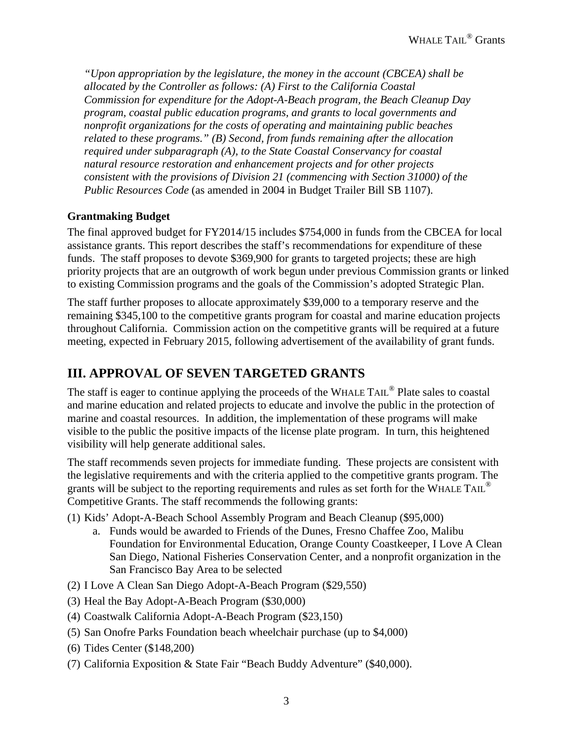*"Upon appropriation by the legislature, the money in the account (CBCEA) shall be allocated by the Controller as follows: (A) First to the California Coastal Commission for expenditure for the Adopt-A-Beach program, the Beach Cleanup Day program, coastal public education programs, and grants to local governments and nonprofit organizations for the costs of operating and maintaining public beaches related to these programs." (B) Second, from funds remaining after the allocation required under subparagraph (A), to the State Coastal Conservancy for coastal natural resource restoration and enhancement projects and for other projects consistent with the provisions of Division 21 (commencing with Section 31000) of the Public Resources Code* (as amended in 2004 in Budget Trailer Bill SB 1107).

### **Grantmaking Budget**

The final approved budget for FY2014/15 includes \$754,000 in funds from the CBCEA for local assistance grants. This report describes the staff's recommendations for expenditure of these funds. The staff proposes to devote \$369,900 for grants to targeted projects; these are high priority projects that are an outgrowth of work begun under previous Commission grants or linked to existing Commission programs and the goals of the Commission's adopted Strategic Plan.

The staff further proposes to allocate approximately \$39,000 to a temporary reserve and the remaining \$345,100 to the competitive grants program for coastal and marine education projects throughout California. Commission action on the competitive grants will be required at a future meeting, expected in February 2015, following advertisement of the availability of grant funds.

### **III. APPROVAL OF SEVEN TARGETED GRANTS**

The staff is eager to continue applying the proceeds of the WHALE TAIL<sup>®</sup> Plate sales to coastal and marine education and related projects to educate and involve the public in the protection of marine and coastal resources. In addition, the implementation of these programs will make visible to the public the positive impacts of the license plate program. In turn, this heightened visibility will help generate additional sales.

The staff recommends seven projects for immediate funding. These projects are consistent with the legislative requirements and with the criteria applied to the competitive grants program. The grants will be subject to the reporting requirements and rules as set forth for the WHALE TAIL<sup>®</sup> Competitive Grants. The staff recommends the following grants:

- (1) Kids' Adopt-A-Beach School Assembly Program and Beach Cleanup (\$95,000)
	- a. Funds would be awarded to Friends of the Dunes, Fresno Chaffee Zoo, Malibu Foundation for Environmental Education, Orange County Coastkeeper, I Love A Clean San Diego, National Fisheries Conservation Center, and a nonprofit organization in the San Francisco Bay Area to be selected
- (2) I Love A Clean San Diego Adopt-A-Beach Program (\$29,550)
- (3) Heal the Bay Adopt-A-Beach Program (\$30,000)
- (4) Coastwalk California Adopt-A-Beach Program (\$23,150)
- (5) San Onofre Parks Foundation beach wheelchair purchase (up to \$4,000)
- (6) Tides Center (\$148,200)
- (7) California Exposition & State Fair "Beach Buddy Adventure" (\$40,000).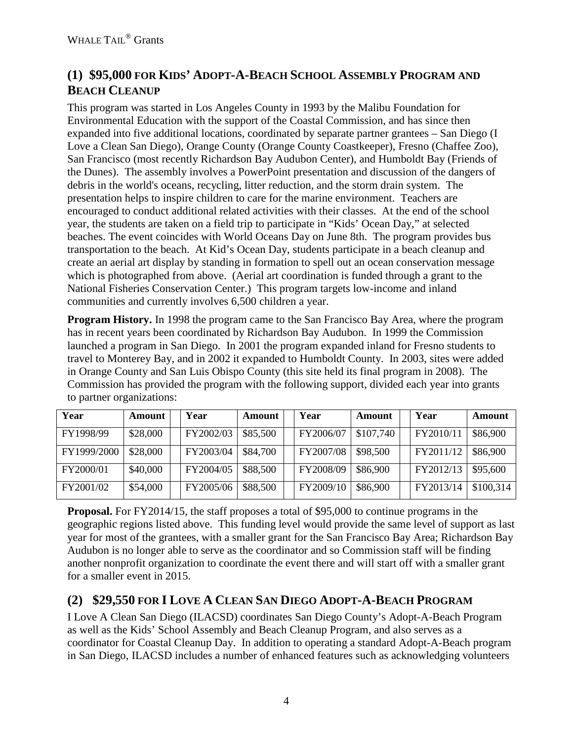## **(1) \$95,000 FOR KIDS' ADOPT-A-BEACH SCHOOL ASSEMBLY PROGRAM AND BEACH CLEANUP**

This program was started in Los Angeles County in 1993 by the Malibu Foundation for Environmental Education with the support of the Coastal Commission, and has since then expanded into five additional locations, coordinated by separate partner grantees – San Diego (I Love a Clean San Diego), Orange County (Orange County Coastkeeper), Fresno (Chaffee Zoo), San Francisco (most recently Richardson Bay Audubon Center), and Humboldt Bay (Friends of the Dunes). The assembly involves a PowerPoint presentation and discussion of the dangers of debris in the world's oceans, recycling, litter reduction, and the storm drain system. The presentation helps to inspire children to care for the marine environment. Teachers are encouraged to conduct additional related activities with their classes. At the end of the school year, the students are taken on a field trip to participate in "Kids' Ocean Day," at selected beaches. The event coincides with World Oceans Day on June 8th. The program provides bus transportation to the beach. At Kid's Ocean Day, students participate in a beach cleanup and create an aerial art display by standing in formation to spell out an ocean conservation message which is photographed from above. (Aerial art coordination is funded through a grant to the National Fisheries Conservation Center.) This program targets low-income and inland communities and currently involves 6,500 children a year.

**Program History.** In 1998 the program came to the San Francisco Bay Area, where the program has in recent years been coordinated by Richardson Bay Audubon. In 1999 the Commission launched a program in San Diego. In 2001 the program expanded inland for Fresno students to travel to Monterey Bay, and in 2002 it expanded to Humboldt County. In 2003, sites were added in Orange County and San Luis Obispo County (this site held its final program in 2008). The Commission has provided the program with the following support, divided each year into grants to partner organizations:

| Year        | Amount   | Year      | <b>Amount</b> | Year      | Amount    | Year      | Amount    |
|-------------|----------|-----------|---------------|-----------|-----------|-----------|-----------|
| FY1998/99   | \$28,000 | FY2002/03 | \$85,500      | FY2006/07 | \$107,740 | FY2010/11 | \$86,900  |
| FY1999/2000 | \$28,000 | FY2003/04 | \$84,700      | FY2007/08 | \$98,500  | FY2011/12 | \$86,900  |
| FY2000/01   | \$40,000 | FY2004/05 | \$88,500      | FY2008/09 | \$86,900  | FY2012/13 | \$95,600  |
| FY2001/02   | \$54,000 | FY2005/06 | \$88,500      | FY2009/10 | \$86,900  | FY2013/14 | \$100,314 |

**Proposal.** For FY2014/15, the staff proposes a total of \$95,000 to continue programs in the geographic regions listed above. This funding level would provide the same level of support as last year for most of the grantees, with a smaller grant for the San Francisco Bay Area; Richardson Bay Audubon is no longer able to serve as the coordinator and so Commission staff will be finding another nonprofit organization to coordinate the event there and will start off with a smaller grant for a smaller event in 2015.

## **(2) \$29,550 FOR I LOVE A CLEAN SAN DIEGO ADOPT-A-BEACH PROGRAM**

I Love A Clean San Diego (ILACSD) coordinates San Diego County's Adopt-A-Beach Program as well as the Kids' School Assembly and Beach Cleanup Program, and also serves as a coordinator for Coastal Cleanup Day. In addition to operating a standard Adopt-A-Beach program in San Diego, ILACSD includes a number of enhanced features such as acknowledging volunteers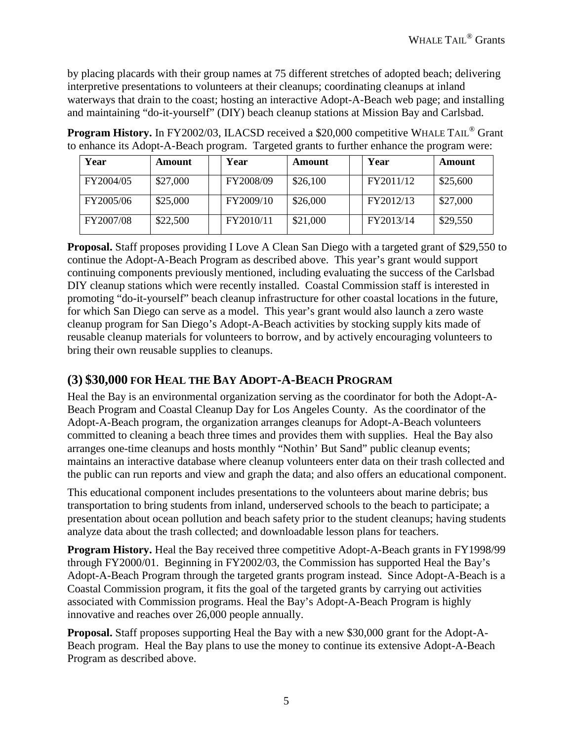by placing placards with their group names at 75 different stretches of adopted beach; delivering interpretive presentations to volunteers at their cleanups; coordinating cleanups at inland waterways that drain to the coast; hosting an interactive Adopt-A-Beach web page; and installing and maintaining "do-it-yourself" (DIY) beach cleanup stations at Mission Bay and Carlsbad.

**Program History.** In FY2002/03, ILACSD received a \$20,000 competitive WHALE TAIL<sup>®</sup> Grant to enhance its Adopt-A-Beach program. Targeted grants to further enhance the program were:

| Year      | <b>Amount</b> | Year      | <b>Amount</b> | Year      | Amount   |
|-----------|---------------|-----------|---------------|-----------|----------|
| FY2004/05 | \$27,000      | FY2008/09 | \$26,100      | FY2011/12 | \$25,600 |
| FY2005/06 | \$25,000      | FY2009/10 | \$26,000      | FY2012/13 | \$27,000 |
| FY2007/08 | \$22,500      | FY2010/11 | \$21,000      | FY2013/14 | \$29,550 |

**Proposal.** Staff proposes providing I Love A Clean San Diego with a targeted grant of \$29,550 to continue the Adopt-A-Beach Program as described above. This year's grant would support continuing components previously mentioned, including evaluating the success of the Carlsbad DIY cleanup stations which were recently installed. Coastal Commission staff is interested in promoting "do-it-yourself" beach cleanup infrastructure for other coastal locations in the future, for which San Diego can serve as a model. This year's grant would also launch a zero waste cleanup program for San Diego's Adopt-A-Beach activities by stocking supply kits made of reusable cleanup materials for volunteers to borrow, and by actively encouraging volunteers to bring their own reusable supplies to cleanups.

### **(3) \$30,000 FOR HEAL THE BAY ADOPT-A-BEACH PROGRAM**

Heal the Bay is an environmental organization serving as the coordinator for both the Adopt-A-Beach Program and Coastal Cleanup Day for Los Angeles County. As the coordinator of the Adopt-A-Beach program, the organization arranges cleanups for Adopt-A-Beach volunteers committed to cleaning a beach three times and provides them with supplies. Heal the Bay also arranges one-time cleanups and hosts monthly "Nothin' But Sand" public cleanup events; maintains an interactive database where cleanup volunteers enter data on their trash collected and the public can run reports and view and graph the data; and also offers an educational component.

This educational component includes presentations to the volunteers about marine debris; bus transportation to bring students from inland, underserved schools to the beach to participate; a presentation about ocean pollution and beach safety prior to the student cleanups; having students analyze data about the trash collected; and downloadable lesson plans for teachers.

**Program History.** Heal the Bay received three competitive Adopt-A-Beach grants in FY1998/99 through FY2000/01. Beginning in FY2002/03, the Commission has supported Heal the Bay's Adopt-A-Beach Program through the targeted grants program instead. Since Adopt-A-Beach is a Coastal Commission program, it fits the goal of the targeted grants by carrying out activities associated with Commission programs. Heal the Bay's Adopt-A-Beach Program is highly innovative and reaches over 26,000 people annually.

**Proposal.** Staff proposes supporting Heal the Bay with a new \$30,000 grant for the Adopt-A-Beach program. Heal the Bay plans to use the money to continue its extensive Adopt-A-Beach Program as described above.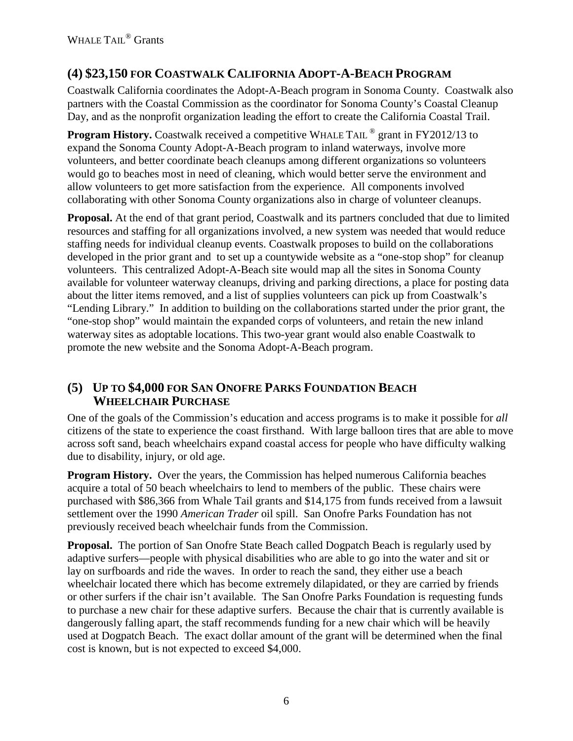### **(4) \$23,150 FOR COASTWALK CALIFORNIA ADOPT-A-BEACH PROGRAM**

Coastwalk California coordinates the Adopt-A-Beach program in Sonoma County. Coastwalk also partners with the Coastal Commission as the coordinator for Sonoma County's Coastal Cleanup Day, and as the nonprofit organization leading the effort to create the California Coastal Trail.

**Program History.** Coastwalk received a competitive WHALE TAIL <sup>®</sup> grant in FY2012/13 to expand the Sonoma County Adopt-A-Beach program to inland waterways, involve more volunteers, and better coordinate beach cleanups among different organizations so volunteers would go to beaches most in need of cleaning, which would better serve the environment and allow volunteers to get more satisfaction from the experience. All components involved collaborating with other Sonoma County organizations also in charge of volunteer cleanups.

**Proposal.** At the end of that grant period, Coastwalk and its partners concluded that due to limited resources and staffing for all organizations involved, a new system was needed that would reduce staffing needs for individual cleanup events. Coastwalk proposes to build on the collaborations developed in the prior grant and to set up a countywide website as a "one-stop shop" for cleanup volunteers. This centralized Adopt-A-Beach site would map all the sites in Sonoma County available for volunteer waterway cleanups, driving and parking directions, a place for posting data about the litter items removed, and a list of supplies volunteers can pick up from Coastwalk's "Lending Library." In addition to building on the collaborations started under the prior grant, the "one-stop shop" would maintain the expanded corps of volunteers, and retain the new inland waterway sites as adoptable locations. This two-year grant would also enable Coastwalk to promote the new website and the Sonoma Adopt-A-Beach program.

### **(5) UP TO \$4,000 FOR SAN ONOFRE PARKS FOUNDATION BEACH WHEELCHAIR PURCHASE**

One of the goals of the Commission's education and access programs is to make it possible for *all* citizens of the state to experience the coast firsthand. With large balloon tires that are able to move across soft sand, beach wheelchairs expand coastal access for people who have difficulty walking due to disability, injury, or old age.

**Program History.** Over the years, the Commission has helped numerous California beaches acquire a total of 50 beach wheelchairs to lend to members of the public. These chairs were purchased with \$86,366 from Whale Tail grants and \$14,175 from funds received from a lawsuit settlement over the 1990 *American Trader* oil spill. San Onofre Parks Foundation has not previously received beach wheelchair funds from the Commission.

**Proposal.** The portion of San Onofre State Beach called Dogpatch Beach is regularly used by adaptive surfers—people with physical disabilities who are able to go into the water and sit or lay on surfboards and ride the waves. In order to reach the sand, they either use a beach wheelchair located there which has become extremely dilapidated, or they are carried by friends or other surfers if the chair isn't available. The San Onofre Parks Foundation is requesting funds to purchase a new chair for these adaptive surfers. Because the chair that is currently available is dangerously falling apart, the staff recommends funding for a new chair which will be heavily used at Dogpatch Beach. The exact dollar amount of the grant will be determined when the final cost is known, but is not expected to exceed \$4,000.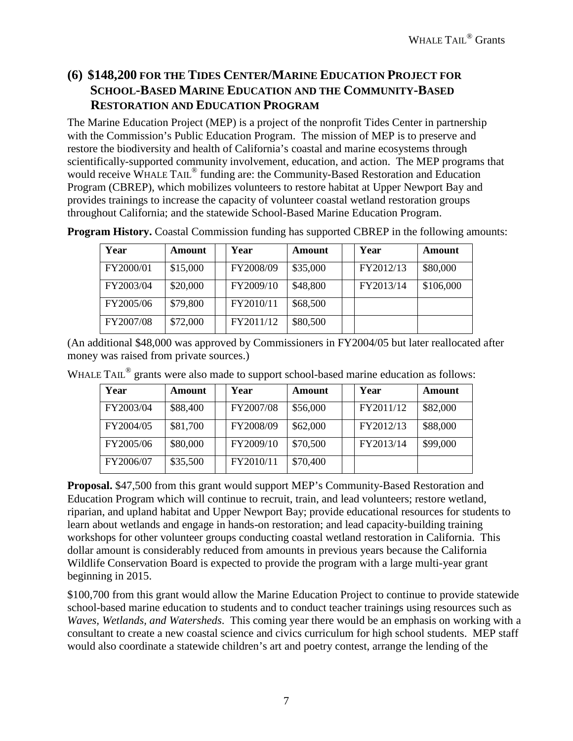### **(6) \$148,200 FOR THE TIDES CENTER/MARINE EDUCATION PROJECT FOR SCHOOL-BASED MARINE EDUCATION AND THE COMMUNITY-BASED RESTORATION AND EDUCATION PROGRAM**

The Marine Education Project (MEP) is a project of the nonprofit Tides Center in partnership with the Commission's Public Education Program. The mission of MEP is to preserve and restore the biodiversity and health of California's coastal and marine ecosystems through scientifically-supported community involvement, education, and action. The MEP programs that would receive WHALE TAIL<sup>®</sup> funding are: the Community-Based Restoration and Education Program (CBREP), which mobilizes volunteers to restore habitat at Upper Newport Bay and provides trainings to increase the capacity of volunteer coastal wetland restoration groups throughout California; and the statewide School-Based Marine Education Program.

| Year      | Amount   | Year      | Amount   | Year      | Amount    |
|-----------|----------|-----------|----------|-----------|-----------|
| FY2000/01 | \$15,000 | FY2008/09 | \$35,000 | FY2012/13 | \$80,000  |
| FY2003/04 | \$20,000 | FY2009/10 | \$48,800 | FY2013/14 | \$106,000 |
| FY2005/06 | \$79,800 | FY2010/11 | \$68,500 |           |           |
| FY2007/08 | \$72,000 | FY2011/12 | \$80,500 |           |           |

**Program History.** Coastal Commission funding has supported CBREP in the following amounts:

(An additional \$48,000 was approved by Commissioners in FY2004/05 but later reallocated after money was raised from private sources.)

| WHALE TAIL $^{\circledR}$ grants were also made to support school-based marine education as follows: |  |  |  |  |
|------------------------------------------------------------------------------------------------------|--|--|--|--|
|                                                                                                      |  |  |  |  |

| Year      | <b>Amount</b> | Year      | Amount   | Year      | Amount   |
|-----------|---------------|-----------|----------|-----------|----------|
| FY2003/04 | \$88,400      | FY2007/08 | \$56,000 | FY2011/12 | \$82,000 |
| FY2004/05 | \$81,700      | FY2008/09 | \$62,000 | FY2012/13 | \$88,000 |
| FY2005/06 | \$80,000      | FY2009/10 | \$70,500 | FY2013/14 | \$99,000 |
| FY2006/07 | \$35,500      | FY2010/11 | \$70,400 |           |          |

**Proposal.** \$47,500 from this grant would support MEP's Community-Based Restoration and Education Program which will continue to recruit, train, and lead volunteers; restore wetland, riparian, and upland habitat and Upper Newport Bay; provide educational resources for students to learn about wetlands and engage in hands-on restoration; and lead capacity-building training workshops for other volunteer groups conducting coastal wetland restoration in California. This dollar amount is considerably reduced from amounts in previous years because the California Wildlife Conservation Board is expected to provide the program with a large multi-year grant beginning in 2015.

\$100,700 from this grant would allow the Marine Education Project to continue to provide statewide school-based marine education to students and to conduct teacher trainings using resources such as *Waves, Wetlands, and Watersheds*. This coming year there would be an emphasis on working with a consultant to create a new coastal science and civics curriculum for high school students. MEP staff would also coordinate a statewide children's art and poetry contest, arrange the lending of the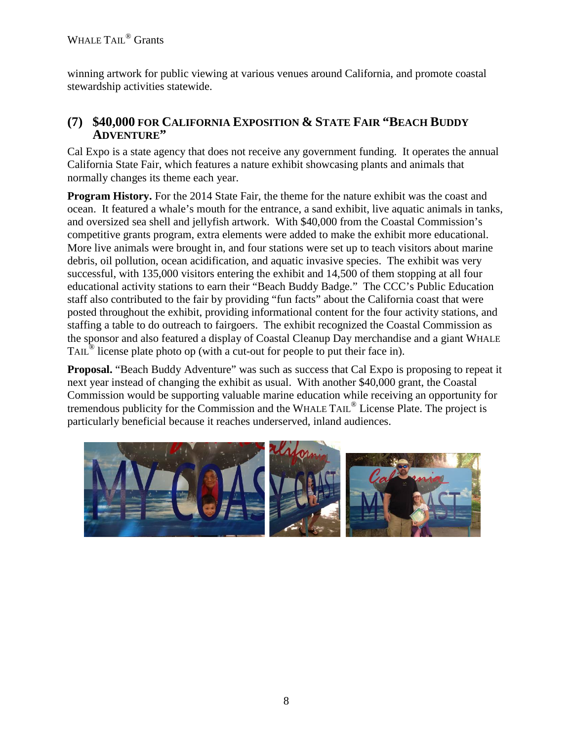winning artwork for public viewing at various venues around California, and promote coastal stewardship activities statewide.

### **(7) \$40,000 FOR CALIFORNIA EXPOSITION & STATE FAIR "BEACH BUDDY ADVENTURE"**

Cal Expo is a state agency that does not receive any government funding. It operates the annual California State Fair, which features a nature exhibit showcasing plants and animals that normally changes its theme each year.

**Program History.** For the 2014 State Fair, the theme for the nature exhibit was the coast and ocean. It featured a whale's mouth for the entrance, a sand exhibit, live aquatic animals in tanks, and oversized sea shell and jellyfish artwork. With \$40,000 from the Coastal Commission's competitive grants program, extra elements were added to make the exhibit more educational. More live animals were brought in, and four stations were set up to teach visitors about marine debris, oil pollution, ocean acidification, and aquatic invasive species. The exhibit was very successful, with 135,000 visitors entering the exhibit and 14,500 of them stopping at all four educational activity stations to earn their "Beach Buddy Badge." The CCC's Public Education staff also contributed to the fair by providing "fun facts" about the California coast that were posted throughout the exhibit, providing informational content for the four activity stations, and staffing a table to do outreach to fairgoers. The exhibit recognized the Coastal Commission as the sponsor and also featured a display of Coastal Cleanup Day merchandise and a giant WHALE TAIL® license plate photo op (with a cut-out for people to put their face in).

**Proposal.** "Beach Buddy Adventure" was such as success that Cal Expo is proposing to repeat it next year instead of changing the exhibit as usual. With another \$40,000 grant, the Coastal Commission would be supporting valuable marine education while receiving an opportunity for tremendous publicity for the Commission and the WHALE TAIL® License Plate. The project is particularly beneficial because it reaches underserved, inland audiences.